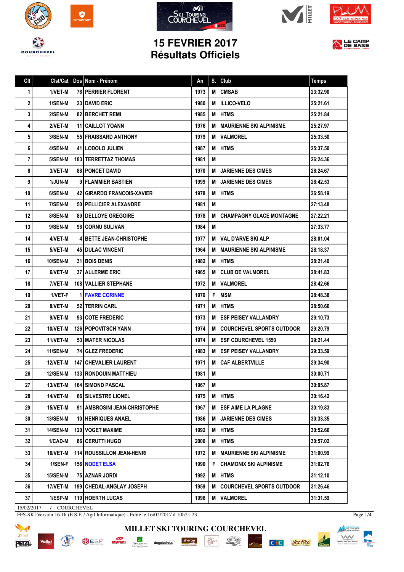









## **15 FEVRIER 2017 Résultats Officiels**



| Clt         | Clst/Cat        | Dos Nom - Prénom                   | An   | S. | Club                             | <b>Temps</b> |
|-------------|-----------------|------------------------------------|------|----|----------------------------------|--------------|
| $\mathbf 1$ | 1/VET-M         | <b>76 PERRIER FLORENT</b>          | 1973 | М  | <b>CMSAB</b>                     | 23:32.90     |
| 2           | 1/SEN-M         | <b>23 DAVID ERIC</b>               | 1980 | М  | <b>IILLICO-VELO</b>              | 25:21.61     |
| 3           | 2/SEN-M         | <b>82 BERCHET REMI</b>             | 1985 | М  | <b>HTMS</b>                      | 25:21.84     |
| 4           | 2/VET-M         | <b>11 CAILLOT YOANN</b>            | 1976 | M  | I MAURIENNE SKI ALPINISME        | 25:27.97     |
| 5           | 3/SEN-M         | 551 FRAISSARD ANTHONY              | 1979 | м  | <b>VALMOREL</b>                  | 25:33.50     |
| 6           | 4/SEN-M         | <b>41   LODOLO JULIEN</b>          | 1987 | M  | <b>IHTMS</b>                     | 25:37.50     |
| 7           | 5/SEN-M         | <b>183   TERRETTAZ THOMAS</b>      | 1981 | М  |                                  | 26:24.36     |
| 8           | 3/VET-M         | <b>88   PONCET DAVID</b>           | 1970 | M  | <b>JARIENNE DES CIMES</b>        | 26:24.67     |
| 9           | 1/JUN-M         | 9 FLAMMIER BASTIEN                 | 1999 | М  | <b>JARIENNE DES CIMES</b>        | 26:42.53     |
| 10          | 6/SEN-M         | 42   GIRARDO FRANCOIS-XAVIER       | 1978 | M  | <b>HTMS</b>                      | 26:58.19     |
| 11          | 7/SEN-M         | 50   PELLICIER ALEXANDRE           | 1981 | M  |                                  | 27:13.48     |
| 12          | 8/SEN-M         | <b>89   DELLOYE GREGOIRE</b>       | 1978 | М  | <b>CHAMPAGNY GLACE MONTAGNE</b>  | 27:22.21     |
| 13          | 9/SEN-M         | 98 CORNU SULIVAN                   | 1984 | М  |                                  | 27:33.77     |
| 14          | 4/VET-M         | <b>41 BETTE JEAN-CHRISTOPHE</b>    | 1977 | М  | <b>IVAL D'ARVE SKI ALP</b>       | 28:01.04     |
| 15          | 5/VET-M         | <b>45 DULAC VINCENT</b>            | 1964 | М  | <b>MAURIENNE SKI ALPINISME</b>   | 28:18.37     |
| 16          | <b>10/SEN-M</b> | <b>31 BOIS DENIS</b>               | 1982 |    | <b>MIHTMS</b>                    | 28:21.40     |
| 17          | 6/VET-M         | <b>37 ALLERME ERIC</b>             | 1965 | М  | <b>CLUB DE VALMOREL</b>          | 28:41.83     |
| 18          | 7/VET-M         | <b>108   VALLIER STEPHANE</b>      | 1972 | м  | <b>VALMOREL</b>                  | 28:42.66     |
| 19          | 1/VET-F         | <b>1 FAVRE CORINNE</b>             | 1970 | F  | <b>MSM</b>                       | 28:48.38     |
| 20          | 8/VET-M         | 52   TERRIN CARL                   | 1971 | М  | HTMS                             | 28:50.66     |
| 21          | 9/VET-M         | 93 COTE FREDERIC                   | 1973 | M  | <b>ESF PEISEY VALLANDRY</b>      | 29:10.73     |
| 22          | 10/VET-M        | <b>126   POPOVITSCH YANN</b>       | 1974 | м  | COURCHEVEL SPORTS OUTDOOR        | 29:20.79     |
| 23          | 11/VET-M        | 53   MATER NICOLAS                 | 1974 | м  | <b>IESF COURCHEVEL 1550</b>      | 29:21.44     |
| 24          | <b>11/SEN-M</b> | 74 GLEZ FREDERIC                   | 1983 | M  | <b>IESF PEISEY VALLANDRY</b>     | 29:33.59     |
| 25          | <b>12/VET-M</b> | <b>147   CHEVALIER LAURENT</b>     | 1971 | M  | <b>CAF ALBERTVILLE</b>           | 29:34.90     |
| 26          | 12/SEN-M        | <b>133 RONDOUIN MATTHIEU</b>       | 1981 | M  |                                  | 30:00.71     |
| 27          | 13/VET-M        | <b>164 SIMOND PASCAL</b>           | 1967 | М  |                                  | 30:05.87     |
| 28          | 14/VET-M        | 66 SILVESTRE LIONEL                | 1975 | Μ  | <b>HTMS</b>                      | 30:16.42     |
| 29          | 15/VET-M        | 91   AMBROSINI JEAN-CHRISTOPHE     | 1967 | М  | <b>ESF AIME LA PLAGNE</b>        | 30:19.83     |
| 30          | 13/SEN-M        | 10 HENRIQUES ANAEL                 | 1986 | м  | <b>JARIENNE DES CIMES</b>        | 30:33.35     |
| 31          | <b>14/SEN-M</b> | <b>120 I VOGET MAXIME</b>          | 1992 | м  | <b>IHTMS</b>                     | 30:52.66     |
| 32          | 1/CAD-M         | 86   CERUTTI HUGO                  | 2000 | M  | <b>HTMS</b>                      | 30:57.02     |
| 33          | 16/VET-M        | <b>114   ROUSSILLON JEAN-HENRI</b> | 1972 | м  | I MAURIENNE SKI ALPINISME        | 31:00.99     |
| 34          | 1/SEN-F         | 156 NODET ELSA                     | 1990 | F  | <b>CHAMONIX SKI ALPINISME</b>    | 31:02.76     |
| 35          | 15/SEN-M        | 75 AZNAR JORDI                     | 1992 | М  | <b>HTMS</b>                      | 31:12.10     |
| 36          | 17/VET-M        | 199 CHEDAL-ANGLAY JOSEPH           | 1959 | M  | <b>COURCHEVEL SPORTS OUTDOOR</b> | 31:26.46     |
| 37          | 1/ESP-M         | 110 HOERTH LUCAS                   | 1996 | М  | <b> VALMOREL</b>                 | 31:31.59     |

**MILLET SKI TOURING COURCHEVEL**

 $\cdot \underbrace{ \underset{P \in \mathbf{R}^1}{\underset{P \in \mathbf{R}^1}{\underset{P \in \mathbf{R}^1}{\underset{P \in \mathbf{R}^2}{\underset{P \in \mathbf{R}^2}}}}}_{\text{Max}}$ 

sherpa

deguisetoi $\widehat{\boldsymbol{x}}$ 

 $\frac{\text{chez}}{\text{Gal}(0)\text{s}}$ 

**C**<sub>I</sub>C *S*GGITEA

15/02/2017 / COURCHEVEL

Vallat

**READ** 

FFS-SKI Version 16.1h (E.S.F. / Agil Informatique) - Edité le 16/02/2017 à 10h21:23

**SESE SE GODDATA** 



Page 1/4

**Execution franceire**<br>des clubs alpins<br>et de montagne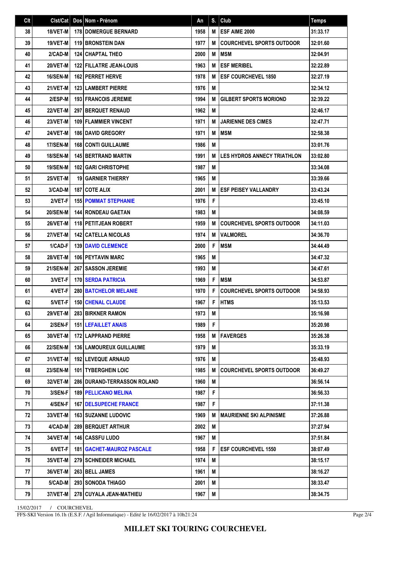| Clt | Clst/Cat        | Dos Nom - Prénom                   | An   | S. | Club                               | <b>Temps</b> |
|-----|-----------------|------------------------------------|------|----|------------------------------------|--------------|
| 38  | 18/VET-M        | <b>178 DOMERGUE BERNARD</b>        | 1958 | M  | <b>ESF AIME 2000</b>               | 31:33.17     |
| 39  | 19/VET-M        | <b>119 BRONSTEIN DAN</b>           | 1977 | M  | <b>COURCHEVEL SPORTS OUTDOOR</b>   | 32:01.60     |
| 40  | 2/CAD-M         | <b>124 CHAPTAL THEO</b>            | 2000 | M  | <b>MSM</b>                         | 32:04.91     |
| 41  | 20/VET-M        | <b>122 FILLATRE JEAN-LOUIS</b>     | 1963 | M  | <b>ESF MERIBEL</b>                 | 32:22.89     |
| 42  | 16/SEN-M        | 162 PERRET HERVE                   | 1978 | M  | <b>ESF COURCHEVEL 1850</b>         | 32:27.19     |
| 43  | 21/VET-M        | <b>123 LAMBERT PIERRE</b>          | 1976 | M  |                                    | 32:34.12     |
| 44  | 2/ESP-M         | <b>193 FRANCOIS JEREMIE</b>        | 1994 | M  | <b>GILBERT SPORTS MORIOND</b>      | 32:39.22     |
| 45  | 22/VET-M        | 297 BERQUET RENAUD                 | 1962 | M  |                                    | 32:46.17     |
| 46  | 23/VET-M        | <b>109 FLAMMIER VINCENT</b>        | 1971 | M  | <b>JARIENNE DES CIMES</b>          | 32:47.71     |
| 47  | 24/VET-M        | <b>186 DAVID GREGORY</b>           | 1971 | M  | <b>IMSM</b>                        | 32:58.38     |
| 48  | 17/SEN-M        | <b>168 CONTI GUILLAUME</b>         | 1986 | M  |                                    | 33:01.76     |
| 49  | <b>18/SEN-M</b> | <b>145 BERTRAND MARTIN</b>         | 1991 | M  | <b>LES HYDROS ANNECY TRIATHLON</b> | 33:02.80     |
| 50  | 19/SEN-M        | <b>102 GARI CHRISTOPHE</b>         | 1987 | M  |                                    | 33:34.08     |
| 51  | 25/VET-M        | <b>19 GARNIER THIERRY</b>          | 1965 | M  |                                    | 33:39.66     |
| 52  | 3/CAD-M         | <b>187   COTE ALIX</b>             | 2001 | M  | <b>ESF PEISEY VALLANDRY</b>        | 33:43.24     |
| 53  | 2/VET-F         | <b>155 POMMAT STEPHANIE</b>        | 1976 | F  |                                    | 33:45.10     |
| 54  | <b>20/SEN-M</b> | 144 RONDEAU GAETAN                 | 1983 | M  |                                    | 34:08.59     |
| 55  | 26/VET-M        | <b>118 PETITJEAN ROBERT</b>        | 1959 | M  | <b>COURCHEVEL SPORTS OUTDOOR</b>   | 34:11.03     |
| 56  | 27/VET-M        | <b>142 CATELLA NICOLAS</b>         | 1974 | M  | <b>VALMOREL</b>                    | 34:36.70     |
| 57  | 1/CAD-F         | <b>139 DAVID CLEMENCE</b>          | 2000 | F  | <b>MSM</b>                         | 34:44.49     |
| 58  | <b>28/VET-M</b> | <b>106 PEYTAVIN MARC</b>           | 1965 | M  |                                    | 34:47.32     |
| 59  | <b>21/SEN-M</b> | <b>267 I SASSON JEREMIE</b>        | 1993 | M  |                                    | 34:47.61     |
| 60  | 3/VET-F         | <b>170 SERDA PATRICIA</b>          | 1969 | F  | <b>MSM</b>                         | 34:53.87     |
| 61  | 4/VET-F         | <b>280   BATCHELOR MELANIE</b>     | 1970 | F  | <b>COURCHEVEL SPORTS OUTDOOR</b>   | 34:58.93     |
| 62  | 5/VET-F         | <b>150 CHENAL CLAUDE</b>           | 1967 | F  | <b>HTMS</b>                        | 35:13.53     |
| 63  | <b>29/VET-M</b> | 283 BIRKNER RAMON                  | 1973 | M  |                                    | 35:16.98     |
| 64  | 2/SEN-F         | <b>151 LEFAILLET ANAIS</b>         | 1989 | F. |                                    | 35:20.98     |
| 65  | 30/VET-M        | 172 LAPPRAND PIERRE                | 1958 | M  | <b>IFAVERGES</b>                   | 35:26.38     |
| 66  | <b>22/SEN-M</b> | <b>136 LAMOUREUX GUILLAUME</b>     | 1979 | M  |                                    | 35:33.19     |
| 67  | 31/VET-M        | <b>192   LEVEQUE ARNAUD</b>        | 1976 | М  |                                    | 35:48.93     |
| 68  | <b>23/SEN-M</b> | 101 TYBERGHEIN LOIC                | 1985 | M  | <b>COURCHEVEL SPORTS OUTDOOR</b>   | 36:49.27     |
| 69  | 32/VET-M        | <b>286 DURAND-TERRASSON ROLAND</b> | 1960 | M  |                                    | 36:56.14     |
| 70  | 3/SEN-F         | <b>189   PELLICANO MELINA</b>      | 1987 | F  |                                    | 36:56.33     |
| 71  | 4/SEN-F         | <b>167   DELSUPECHE FRANCE</b>     | 1987 | F  |                                    | 37:11.38     |
| 72  | 33/VET-M        | <b>163 SUZANNE LUDOVIC</b>         | 1969 | M  | <b>MAURIENNE SKI ALPINISME</b>     | 37:26.88     |
| 73  | 4/CAD-M         | <b>289 BERQUET ARTHUR</b>          | 2002 | M  |                                    | 37:27.94     |
| 74  | <b>34/VET-M</b> | <b>146   CASSFU LUDO</b>           | 1967 | M  |                                    | 37:51.84     |
| 75  | 6/VET-F         | <b>181   GACHET-MAUROZ PASCALE</b> | 1958 | F  | <b>ESF COURCHEVEL 1550</b>         | 38:07.49     |
| 76  | 35/VET-M        | <b>279   SCHNEIDER MICHAEL</b>     | 1974 | M  |                                    | 38:15.17     |
| 77  | 36/VET-M        | 263 BELL JAMES                     | 1961 | M  |                                    | 38:16.27     |
| 78  | 5/CAD-M         | 293   SONODA THIAGO                | 2001 | M  |                                    | 38:33.47     |
| 79  | 37/VET-M        | 278 CUYALA JEAN-MATHIEU            | 1967 | M  |                                    | 38:34.75     |

15/02/2017 / COURCHEVEL

FFS-SKI Version 16.1h (E.S.F. / Agil Informatique) - Edité le 16/02/2017 à 10h21:24

Page 2/4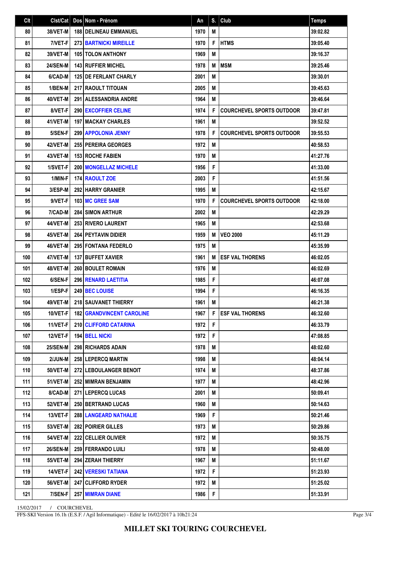| Clt | Clst/Cat        | Dos Nom - Prénom                   | An   | S. | Club                             | <b>Temps</b> |
|-----|-----------------|------------------------------------|------|----|----------------------------------|--------------|
| 80  | 38/VET-M        | <b>188   DELINEAU EMMANUEL</b>     | 1970 | M  |                                  | 39:02.82     |
| 81  | 7/VET-F         | <b>273 BARTNICKI MIREILLE</b>      | 1970 | F  | <b>HTMS</b>                      | 39:05.40     |
| 82  | <b>39/VET-M</b> | <b>105 TOLON ANTHONY</b>           | 1969 | M  |                                  | 39:16.37     |
| 83  | <b>24/SEN-M</b> | <b>143 RUFFIER MICHEL</b>          | 1978 | M  | <b>MSM</b>                       | 39:25.46     |
| 84  | 6/CAD-M         | <b>125 DE FERLANT CHARLY</b>       | 2001 | M  |                                  | 39:30.01     |
| 85  | 1/BEN-M         | 217 RAOULT TITOUAN                 | 2005 | M  |                                  | 39:45.63     |
| 86  | 40/VET-M        | 291 ALESSANDRIA ANDRE              | 1964 | M  |                                  | 39:46.64     |
| 87  | 8/VET-F         | 290 EXCOFFIER CELINE               | 1974 | F  | <b>COURCHEVEL SPORTS OUTDOOR</b> | 39:47.81     |
| 88  | 41/VET-M        | <b>197   MACKAY CHARLES</b>        | 1961 | M  |                                  | 39:52.52     |
| 89  | 5/SEN-F         | <b>299   APPOLONIA JENNY</b>       | 1978 | F  | <b>COURCHEVEL SPORTS OUTDOOR</b> | 39:55.53     |
| 90  | 42/VET-M        | <b>255 PEREIRA GEORGES</b>         | 1972 | M  |                                  | 40:58.53     |
| 91  | 43/VET-M        | <b>153 ROCHE FABIEN</b>            | 1970 | M  |                                  | 41:27.76     |
| 92  | 1/SVET-F        | 200   MONGELLAZ MICHELE            | 1956 | F  |                                  | 41:33.00     |
| 93  | 1/MIN-F         | 174 RAOULT ZOE                     | 2003 | F  |                                  | 41:51.56     |
| 94  | 3/ESP-M         | <b>292 HARRY GRANIER</b>           | 1995 | M  |                                  | 42:15.67     |
| 95  | 9/VET-F         | 103 MC GREE SAM                    | 1970 | F  | <b>COURCHEVEL SPORTS OUTDOOR</b> | 42:18.00     |
| 96  | 7/CAD-M         | 284 SIMON ARTHUR                   | 2002 | M  |                                  | 42:29.29     |
| 97  | 44/VET-M        | 253 RIVERO LAURENT                 | 1965 | M  |                                  | 42:53.68     |
| 98  | 45/VET-M        | <b>264 PEYTAVIN DIDIER</b>         | 1959 | M  | <b>VEO 2000</b>                  | 45:11.29     |
| 99  | 46/VET-M        | <b>295 FONTANA FEDERLO</b>         | 1975 | M  |                                  | 45:35.99     |
| 100 | 47/VET-M        | <b>137 BUFFET XAVIER</b>           | 1961 | M  | <b>ESF VAL THORENS</b>           | 46:02.05     |
| 101 | 48/VET-M        | <b>260 BOULET ROMAIN</b>           | 1976 | M  |                                  | 46:02.69     |
| 102 | 6/SEN-F         | 296 RENARD LAETITIA                | 1985 | F  |                                  | 46:07.08     |
| 103 | 1/ESP-F         | 249 BEC LOUISE                     | 1994 | F  |                                  | 46:16.35     |
| 104 | 49/VET-M        | 218 SAUVANET THIERRY               | 1961 | M  |                                  | 46:21.38     |
| 105 | 10/VET-F        | <b>182   GRANDVINCENT CAROLINE</b> | 1967 | F  | <b>ESF VAL THORENS</b>           | 46:32.60     |
| 106 | 11/VET-F        | 210 CLIFFORD CATARINA              | 1972 | F  |                                  | 46:33.79     |
| 107 | 12/VET-F        | 194 BELL NICKI                     | 1972 | F  |                                  | 47:08.85     |
| 108 | <b>25/SEN-M</b> | 298 RICHARDS ADAIN                 | 1978 | M  |                                  | 48:02.60     |
| 109 | 2/JUN-M         | 258 LEPERCQ MARTIN                 | 1998 | Μ  |                                  | 48:04.14     |
| 110 | <b>50/VET-M</b> | 272 LEBOULANGER BENOIT             | 1974 | M  |                                  | 48:37.86     |
| 111 | 51/VET-M        | 252 MIMRAN BENJAMIN                | 1977 | Μ  |                                  | 48:42.96     |
| 112 | 8/CAD-M         | <b>271 LEPERCQ LUCAS</b>           | 2001 | M  |                                  | 50:09.41     |
| 113 | <b>52/VET-M</b> | <b>250 BERTRAND LUCAS</b>          | 1960 | M  |                                  | 50:14.63     |
| 114 | 13/VET-F        | 288 LANGEARD NATHALIE              | 1969 | F  |                                  | 50:21.46     |
| 115 | 53/VET-M        | 282 POIRIER GILLES                 | 1973 | Μ  |                                  | 50:29.86     |
| 116 | <b>54/VET-M</b> | 222 CELLIER OLIVIER                | 1972 | M  |                                  | 50:35.75     |
| 117 | <b>26/SEN-M</b> | 259 FERRANDO LUILI                 | 1978 | M  |                                  | 50:48.00     |
| 118 | <b>55/VET-M</b> | 294 ZERAH THIERRY                  | 1967 | M  |                                  | 51:11.67     |
| 119 | 14/VET-F        | <b>242 VERESKI TATIANA</b>         | 1972 | F  |                                  | 51:23.93     |
| 120 | <b>56/VET-M</b> | 247 CLIFFORD RYDER                 | 1972 | Μ  |                                  | 51:25.02     |
| 121 | 7/SEN-F         | <b>257 MIMRAN DIANE</b>            | 1986 | F  |                                  | 51:33.91     |

15/02/2017 / COURCHEVEL

FFS-SKI Version 16.1h (E.S.F. / Agil Informatique) - Edité le 16/02/2017 à 10h21:24

Page 3/4